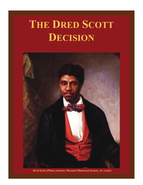# **THE DRED SCOTT DECISION**



 **Dred Scott (Photo courtesy Missouri Historical Society, St. Louis)**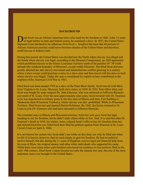#### **BACKGROUND**

**D** red Scott was an African American slave who sued for his freedom in 1846. After 11 years of legal battles in state and federal courts, he remained a slave. In 1857, the United States Supreme Court declared in its infamous *Dred Scott v. Sandford* decision that all persons of African American ancestry could never become citizens of the United States and therefore, could not sue in federal court.

During this period, the United States was divided into the North where slavery was illegal and the South where slavery was legal, according to the Missouri Compromise, an 1820 agreement which prohibited slavery in the former Louisiana Territory north of the parallel 36° 30' north latitude (the southern boundary of Missouri), except within Missouri. The Dred Scott decision greatly alarmed the anti-slavery movement and intensified the conflict growing in a country where a slave owner could purchase a slave in a slave state and then travel with the slave to land where slavery was illegal. Today the case is considered by experts to have contributed to the eruption of the American Civil War in 1861.

Dred Scott was born around 1799 as a slave of the Peter Blow family. Scott moved with Blow from Virginia to St. Louis, Missouri, both slave states, in 1830. In 1832, Peter Blow died, and Scott was bought by army surgeon Dr. John Emerson, who was stationed at Jefferson Barracks just south of St. Louis. Over the next approximately nine years, Scott traveled with Dr. Emerson as he was transferred to military posts in the free state of Illinois and later, Fort Snelling in Minnesota (then Wisconsin Territory), where slavery was also prohibited. While in Wisconsin Territory, Dred Scott met and married Harriet Robinson. By 1842, the Scotts returned to St. Louis to join Dr. Emerson who had been relocated to Jefferson Barracks.

The extended stays in Illinois and Wisconsin territory, both free soil, gave Scott the legal standing to sue for freedom, but he didn't make claim while on free land. It is said that after Dr. Emerson's death in 1843, his widow, Irene, refused Scott's offer to buy his freedom from her and instead hired him out. Dred Scott then filed his petition against Irene Emerson in St. Louis Circuit Court on April 6, 1846.

It is not known for certain why Scott didn't sue while on free land, nor why he filed suit when he did. It is known, however, that he sued simply to gain his freedom. He had no political motive himself, but did, during the 11 years of litigation, receive legal and financial help from the sons of Blow, his original master, and other white individuals who supported his cause. While there were many other such freedom suits based on residence in free territory filed in the early 19th century, Dred Scott's claim became not only the famous test case, but one of the most important cases ever brought in the United States.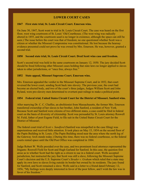# **LOWER COURT CASES**

## **1847 First state trial, St. Louis Circuit Court. Emerson wins.**

On June 30, 1847, Scott went to trial in St. Louis Circuit Court. The case was heard on the first floor, west wing courtroom of St. Louis' Old Courthouse. (The west wing was radically altered in 1855, and the courtroom used is no longer in existence, although the space can still be seen.) The issue before the court was that of freedom; no one questioned whether Scott was a citizen or whether the Missouri Compromise was constitutional. He lost because the hearsay evidence presented could not prove he was owned by Mrs. Emerson. He was, however, granted a second trial.

#### **1850 Second state trial, St. Louis Circuit Court. Dred Scott wins case and freedom.**

Scott's second trial was held in the same courtroom on January 12, 1850. The jury decided Scott should be freed following other Missouri cases holding that state laws no longer applied to slaves taken to other jurisdictions, or "once free, always free."

## **1852 State appeal, Missouri Supreme Court. Emerson wins.**

Mrs. Emerson appealed the verdict to the Missouri Supreme Court, and in 1852, that court reversed the lower court, sending Scott back into slavery. The previous year, the court had become an elected body, and two of the court's three judges, Judges William Scott and John Ryland, were pro-slavery men determined to overturn past rulings to make a political point.

## **1854 Federal trial, United States Circuit Court for the District of Missouri. Sanford wins.**

After marrying Dr. C. C. Chaffee, an abolitionist from Massachusetts, the former Mrs. Emerson transferred ownership of her slaves to her brother, John Sanford, a resident of New York. Because Scott and Sanford were citizens of two different states, a case could be filed in federal court on the basis of diversity of citizenship. Scott was persuaded by St. Louis attorney Roswell M. Field, father of poet Eugene Field, to file suit in the United States Circuit Court for the District of Missouri.

The federal court trial of *Scott v. Sandford* (Sanford was misspelled in the case filing) was unpretentious and received little attention. It took place on May 15, 1854 on the second floor of the Papin Building in St. Louis. (The Papin Building stood near the area where the north leg of the Gateway Arch stands today.) During this time, there was no federal courthouse, so the federal courts rented space until the Old Post Office was completed in 1884.

Judge Robert W. Wells presided over the case, and two prominent local attorneys represented the litigants: Roswell Field for Scott and Hugh Garland for Sanford. In this case, the question first arose as to whether Scott had the right as a citizen to sue in a federal court. Wells accepted jurisdiction, but instructed the jury that Scott was still a slave, following the Missouri Supreme Court's decision and the U.S. Supreme Court's *Strader v. Graham* which ruled that a state may apply its own laws to slaves living outside its border but owned by its residents. The jury found for Sanford, and Scott remained a slave. Wells said in a letter to a friend dated February 12, 1856, "My feelings were deeply interested in favor of the poor fellow, and I wish the law was in favor of his freedom."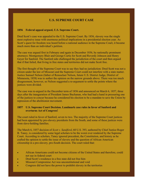# **U.S. SUPREME COURT CASE**

#### **1856 Federal appeal argued, U.S. Supreme Court.**

Dred Scott's case was appealed to the U.S. Supreme Court. By 1856, slavery was the single most explosive issue with enormous political implications in a presidential election year. As Scott's quest for freedom was heard before a national audience in the Supreme Court, it became much more than an individual's petition.

The case was argued first in February and again in December 1856, by nationally prominent attorneys: Montgomery Blair and George Curtis for Scott and Reverdy Johnson and Henry Geyer for Sanford. The Sanford side challenged the jurisdiction of the court and then argued that if that failed, that living in free states and territories did not make Scott free.

The first thought of the Supreme Court was to say they had no jurisdiction: Dred Scott was not a citizen under the law of Missouri and the Supreme Court could not interfere with a state matter. Justice Samuel Nelson (father of Rensselaer Nelson, future U.S. District Judge, District of Minnesota, 1858) was to author the opinion on the narrow grounds above. There was too much disagreement, however, so Nelson suggested a re-argument to settle the points where the justices were divided.

The case was re-argued in the December term of 1856 and announced on March 6, 1857, three days after the inauguration of President James Buchanan, who had had a hand in pressuring one of the justices to concur because he considered his election to be a mandate to save the Union by repression of the abolitionist movement.

#### **1857 U.S. Supreme Court Decision. Landmark case rules in favor of Sanford and overturns Act of Congress!**

The court ruled in favor of Sanford, seven to two. The majority of the Supreme Court justices had been appointed by pro-slavery presidents from the South, and some of these justices were from slave-holding families.

The March 6, 1857 decision of *Scott v. Sandford*, 60 U.S. 393, authored by Chief Justice Roger B. Taney, is considered by some legal scholars to be the worst ever rendered by the Supreme Court. According to scholars, Taney ignored precedent, the Constitution, and history as he crafted the opinion to settle the issue of slavery and the question of African American citizenship in a pro-slavery, pro-South decision. The court ruled that:

- African Americans could not become citizens of the United States and therefore, could not sue in federal court
- Dred Scott's residence in a free state did not free him
- Missouri Compromise Act was unconstitutional and void
- Congress did not have the power to prohibit slavery in the territories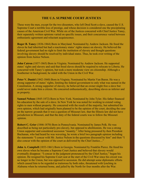## **THE U.S. SUPREME COURT JUSTICES**

These were the men, except for the two dissenters, who left Dred Scott a slave, caused the U.S. Supreme Court a terrible loss of prestige, and whose decision is considered one the precipitating causes of the American Civil War. While six of the Justices concurred with Chief Justice Taney, their separately written opinions varied on specific issues, and their concurrence varied between enthusiastic agreement and reluctant acquiescence.

**Roger B. Taney** (1836-1864) Born in Maryland. Nominated by Andrew Jackson. He freed the slaves he had inherited but had a reactionary states' rights stance on slavery. He believed the federal government had no right to limit the institution of slavery and thought questions involving slavery should be resolved by individual states. Thus, he took over writing of the opinion from Justice Nelson.

**John Catron** (1837-1865) Born in Virginia. Nominated by Andrew Jackson. He supported states' rights and slavery and said that freed slaves should be required to relocate to Liberia. He concurred with Taney's opinion, but took a more moderate view on citizenship. Although a Southerner in background, he sided with the Union in the Civil War.

**Peter V. Daniel** (1842-1860) Born in Virginia. Nominated by Martin Van Buren. He was a strong supporter of states' rights, limiting the federal government to only what was named in the Constitution. A strong supporter of slavery, he believed that an owner might free a slave but could never make him a citizen. He concurred enthusiastically, describing slaves as inferior and as property.

**Samuel Nelson** (1845-1872) Born in New York. Nominated by John Tyler. His father financed his education by the sale of a slave. In New York he was noted for working to extend voting rights to men without property. He concurred with the result of the majority, but submitted his own opinion, which had originally been planned to be the opinion of the court, deciding the case on the narrow grounds that it was a question of Missouri law, that the Illinois law did not have jurisdiction in Missouri, and that the duty of the federal courts was to follow the Missouri opinion.

**Robert C. Grier** (1846-1870) Born in Pennsylvania. Nominated by James Polk. He was described as being not particularly pro-slavery, but opposed to abolitionists. He was a strong Union supporter and considered secession "insanity." After being pressured by then President Buchanan, who had heard he was wavering, he wrote a brief two paragraph opinion including the statements "I concur with Mr. Justice Nelson in the questions discussed by him" and then "I also concur with the opinion of the court as delivered by the Chief Justice...."

**John A. Campbell** (1853-1861) Born in Georgia. Nominated by Franklin Pierce. He freed his own slaves when he became a Supreme Court Justice and believed that slavery would eventually disappear. "I concur in the judgment pronounced by the Chief Justice," began his opinion. He resigned his Supreme Court seat at the start of the Civil War since his circuit was no longer in the Union, but was opposed to secession. He did attempt some diplomatic efforts which caused him to be regarded as traitorous by both sides, threatened with lynching in Alabama when he returned home, and jailed by the North for four months after the War.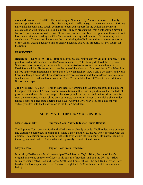**James M. Wayne** (1835-1867) Born in Georgia. Nominated by Andrew Jackson. His family owned a plantation with rice fields, 100 slaves, and actually engaged in slave commerce. A strong nationalist, he constantly sought compromise between support for the Union and southern dissatisfaction with federal policies. He urged Taney to broaden the Dred Scott opinion beyond Nelson's draft, and once written, said "Concurring as I do entirely in the opinion of the court, as it has been written and read by the Chief Justice–without any qualification of its reasoning or its conclusions..." He retained his seat on the court during the Civil war and was a strong supporter of the Union. Georgia declared him an enemy alien and seized his property. His son fought for the South.

#### **DISSENTERS**

**Benjamin R. Curtis** (1851-1857) Born in Massachusetts. Nominated by Millard Fillmore. At one point vilified in Massachusetts as the "slave catcher judge" for having declared the Fugitive Slave Act constitutional, he became a hero to the anti-slave movement with his dissent in the Dred Scot decision. He argued that, "At the time of the adoption of the Articles of Confederation all free native born inhabitants of the states of New Hampshire, New York, New Jersey and North Carolina, though descended from African slaves" were citizens and that residence in a free state freed a slave. He filed his dissent with the Court Clerk on March 6, 1857 and forwarded it to a Boston newspaper.

**John McLean** (1830-1861). Born in New Jersey. Nominated by Andrew Jackson. In his dissent he argued that many of African descent were citizens in the New England states, that the federal government did have the power to prohibit slavery in the territories, and that residence in a free state did emancipate a slave, citing previous cases, some from Missouri, in which a slaveholder taking a slave to a free state liberated the slave. After the Civil War, McLean's dissent was virtually written into the Constitution as the 14th Amendment.

# **AFTERMATH: THE IRONY OF JUSTICE**

#### **March-April, 1857 Supreme Court Vilified; Justice Curtis Resigns**.

The Supreme Court decision further divided a nation already at odds. Abolitionists were outraged and distributed pamphlets abominating Justice Taney and the six Justices who concurred with the opinion. The decision was cause for great strife even within the high court, ultimately leading to the resignation of Justice Curtis, who had vigorously dissented the decision.

#### **May 26, 1857 Taylor Blow Frees Dred Scott.**

Ironically, Chaffee transferred ownership of Dred Scott to Taylor Blow, the son of Scott's original owner and supporter of Scott in his pursuit of freedom, and on May 26, 1857, Blow formally emancipated Dred and Harriet Scott in St. Louis. (During the mid-1800s Taylor Blow lived on the block upon which the Thomas F. Eagleton U.S. Courthouse in St. Louis was later built.)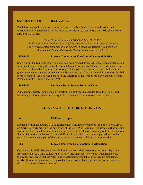#### **September 17, 1858 Dred Scott Dies.**

Dred Scott enjoyed only nine months of freedom before dying from complications with tuberculosis on September 17, 1858. Dred Scott was put to rest in St. Louis. His grave marker, added in 1957, reads:

*"Dred Scott Born about 1799 Died Sept. 17, 1858" ""Dred Scott: Subject of the Decision of the Supreme Court of the United States in 1857 Which Denied Citizenship to the Negro, Voided the Missouri Compromise Act, Became One of the Events That Resulted in the Civil War"*

#### **1858-1860 Lincoln Comes to the Forefront of National Politics.**

Shortly after the Supreme Court decision had been handed down, Abraham Lincoln made a bid for a senate seat. During this race, Lincoln delivered his famous "House Divided" speech on June 16, 1858 in which he said, "A house divided against itself cannot stand. I believe this government cannot endure permanently half slave and half free." Although Lincoln lost his bid for the senatorial seat, he was pushed to the forefront of the Republican party and was elected President of the United States in 1860.

#### **1860-1861 Southern States Secede from the Union.**

Almost immediately upon Lincoln's election, South Carolina seceded from the Union, and Mississippi, Florida, Alabama, Georgia, Louisiana, and Texas followed soon after.

# **AFTERMATH: FIGHT BE NOT IN VAIN**

## **1861 Civil War Erupts.**

Division within the country was solidified when Confederate batteries fired upon Fort Sumter on April 12, 1861, marking the beginning of the Civil War. Virginia, Tennessee, Arkansas, and North Carolina joined the states that had seceded from the Union, rounding out the Confederate States of America. Delaware, Maryland, Kentucky, and Missouri were regarded as "border states" and remained a part of the Union, but each was very divided in its sympathies.

## **1863 Lincoln Issues the Emancipation Proclamation**.

On January 1, 1863, President Lincoln issued the second of two executive orders declaring freedom of slaves within confederate states. While most slaves were not freed right away, thousands were freed that very day. The Proclamation gradually, however, did emancipate nearly all four million slaves, as it gave the Union armies the legal standing to free slaves as they took control of southern areas.